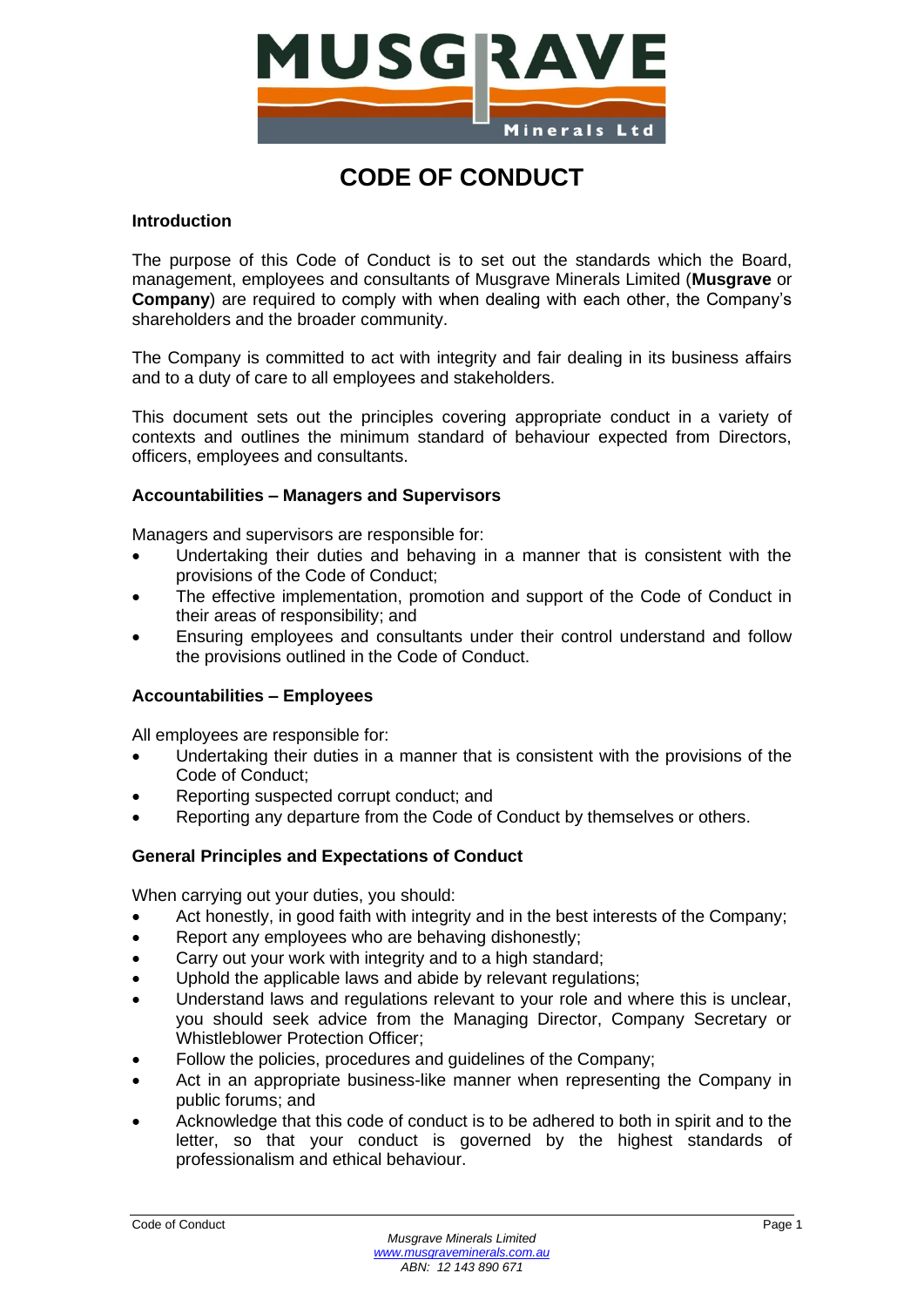

# **CODE OF CONDUCT**

# **Introduction**

The purpose of this Code of Conduct is to set out the standards which the Board, management, employees and consultants of Musgrave Minerals Limited (**Musgrave** or **Company**) are required to comply with when dealing with each other, the Company's shareholders and the broader community.

The Company is committed to act with integrity and fair dealing in its business affairs and to a duty of care to all employees and stakeholders.

This document sets out the principles covering appropriate conduct in a variety of contexts and outlines the minimum standard of behaviour expected from Directors, officers, employees and consultants.

# **Accountabilities – Managers and Supervisors**

Managers and supervisors are responsible for:

- Undertaking their duties and behaving in a manner that is consistent with the provisions of the Code of Conduct;
- The effective implementation, promotion and support of the Code of Conduct in their areas of responsibility; and
- Ensuring employees and consultants under their control understand and follow the provisions outlined in the Code of Conduct.

## **Accountabilities – Employees**

All employees are responsible for:

- Undertaking their duties in a manner that is consistent with the provisions of the Code of Conduct;
- Reporting suspected corrupt conduct; and
- Reporting any departure from the Code of Conduct by themselves or others.

# **General Principles and Expectations of Conduct**

When carrying out your duties, you should:

- Act honestly, in good faith with integrity and in the best interests of the Company;
- Report any employees who are behaving dishonestly;
- Carry out your work with integrity and to a high standard;
- Uphold the applicable laws and abide by relevant regulations;
- Understand laws and regulations relevant to your role and where this is unclear, you should seek advice from the Managing Director, Company Secretary or Whistleblower Protection Officer;
- Follow the policies, procedures and guidelines of the Company;
- Act in an appropriate business-like manner when representing the Company in public forums; and
- Acknowledge that this code of conduct is to be adhered to both in spirit and to the letter, so that your conduct is governed by the highest standards of professionalism and ethical behaviour.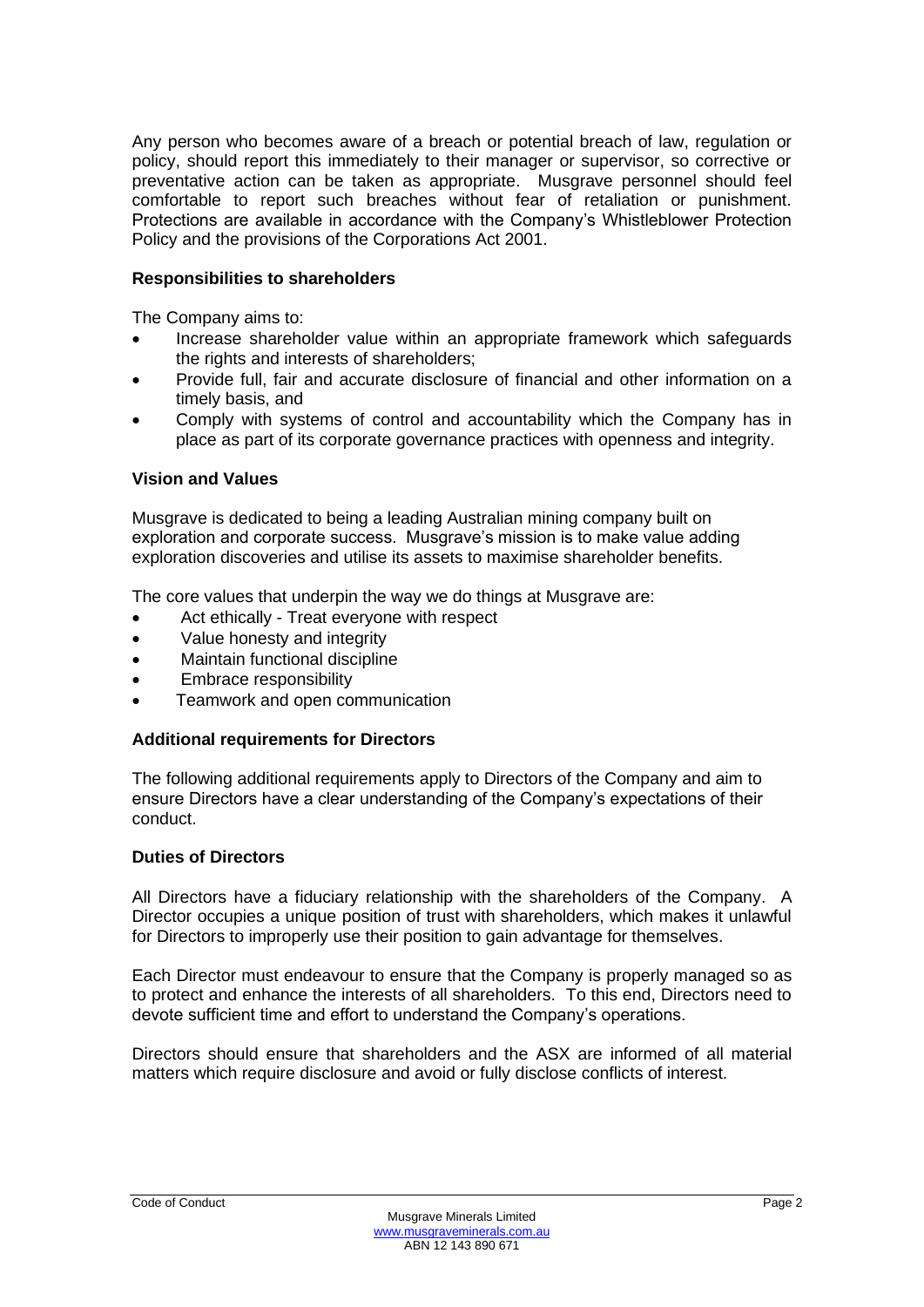Any person who becomes aware of a breach or potential breach of law, regulation or policy, should report this immediately to their manager or supervisor, so corrective or preventative action can be taken as appropriate. Musgrave personnel should feel comfortable to report such breaches without fear of retaliation or punishment. Protections are available in accordance with the Company's Whistleblower Protection Policy and the provisions of the Corporations Act 2001.

## **Responsibilities to shareholders**

The Company aims to:

- Increase shareholder value within an appropriate framework which safeguards the rights and interests of shareholders;
- Provide full, fair and accurate disclosure of financial and other information on a timely basis, and
- Comply with systems of control and accountability which the Company has in place as part of its corporate governance practices with openness and integrity.

## **Vision and Values**

Musgrave is dedicated to being a leading Australian mining company built on exploration and corporate success. Musgrave's mission is to make value adding exploration discoveries and utilise its assets to maximise shareholder benefits.

The core values that underpin the way we do things at Musgrave are:

- Act ethically Treat everyone with respect
- Value honesty and integrity
- Maintain functional discipline
- Embrace responsibility
- Teamwork and open communication

## **Additional requirements for Directors**

The following additional requirements apply to Directors of the Company and aim to ensure Directors have a clear understanding of the Company's expectations of their conduct.

#### **Duties of Directors**

All Directors have a fiduciary relationship with the shareholders of the Company. A Director occupies a unique position of trust with shareholders, which makes it unlawful for Directors to improperly use their position to gain advantage for themselves.

Each Director must endeavour to ensure that the Company is properly managed so as to protect and enhance the interests of all shareholders. To this end, Directors need to devote sufficient time and effort to understand the Company's operations.

Directors should ensure that shareholders and the ASX are informed of all material matters which require disclosure and avoid or fully disclose conflicts of interest.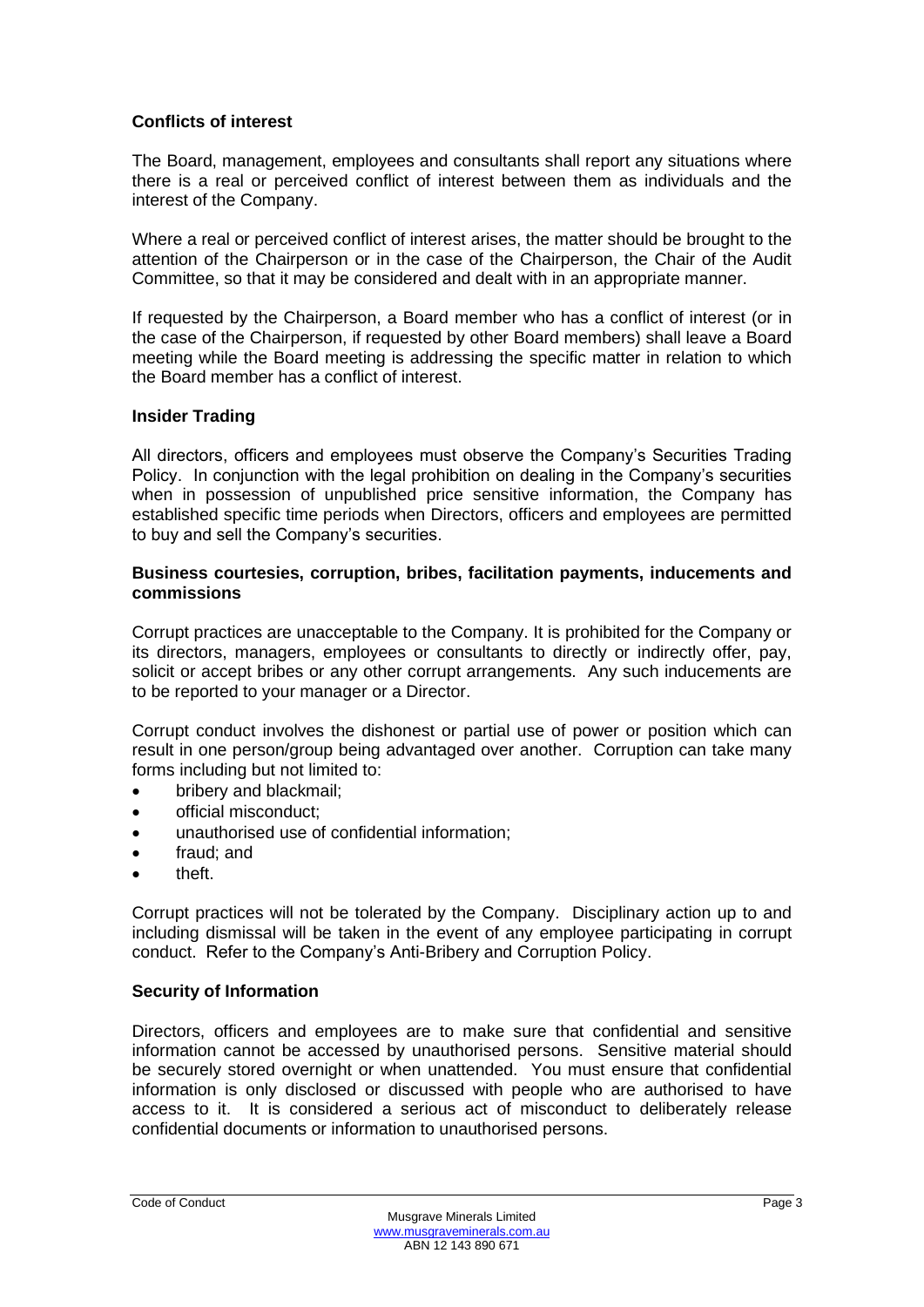## **Conflicts of interest**

The Board, management, employees and consultants shall report any situations where there is a real or perceived conflict of interest between them as individuals and the interest of the Company.

Where a real or perceived conflict of interest arises, the matter should be brought to the attention of the Chairperson or in the case of the Chairperson, the Chair of the Audit Committee, so that it may be considered and dealt with in an appropriate manner.

If requested by the Chairperson, a Board member who has a conflict of interest (or in the case of the Chairperson, if requested by other Board members) shall leave a Board meeting while the Board meeting is addressing the specific matter in relation to which the Board member has a conflict of interest.

## **Insider Trading**

All directors, officers and employees must observe the Company's Securities Trading Policy. In conjunction with the legal prohibition on dealing in the Company's securities when in possession of unpublished price sensitive information, the Company has established specific time periods when Directors, officers and employees are permitted to buy and sell the Company's securities.

#### **Business courtesies, corruption, bribes, facilitation payments, inducements and commissions**

Corrupt practices are unacceptable to the Company. It is prohibited for the Company or its directors, managers, employees or consultants to directly or indirectly offer, pay, solicit or accept bribes or any other corrupt arrangements. Any such inducements are to be reported to your manager or a Director.

Corrupt conduct involves the dishonest or partial use of power or position which can result in one person/group being advantaged over another. Corruption can take many forms including but not limited to:

- bribery and blackmail;
- official misconduct;
- unauthorised use of confidential information;
- fraud; and
- theft.

Corrupt practices will not be tolerated by the Company. Disciplinary action up to and including dismissal will be taken in the event of any employee participating in corrupt conduct. Refer to the Company's Anti-Bribery and Corruption Policy.

## **Security of Information**

Directors, officers and employees are to make sure that confidential and sensitive information cannot be accessed by unauthorised persons. Sensitive material should be securely stored overnight or when unattended. You must ensure that confidential information is only disclosed or discussed with people who are authorised to have access to it. It is considered a serious act of misconduct to deliberately release confidential documents or information to unauthorised persons.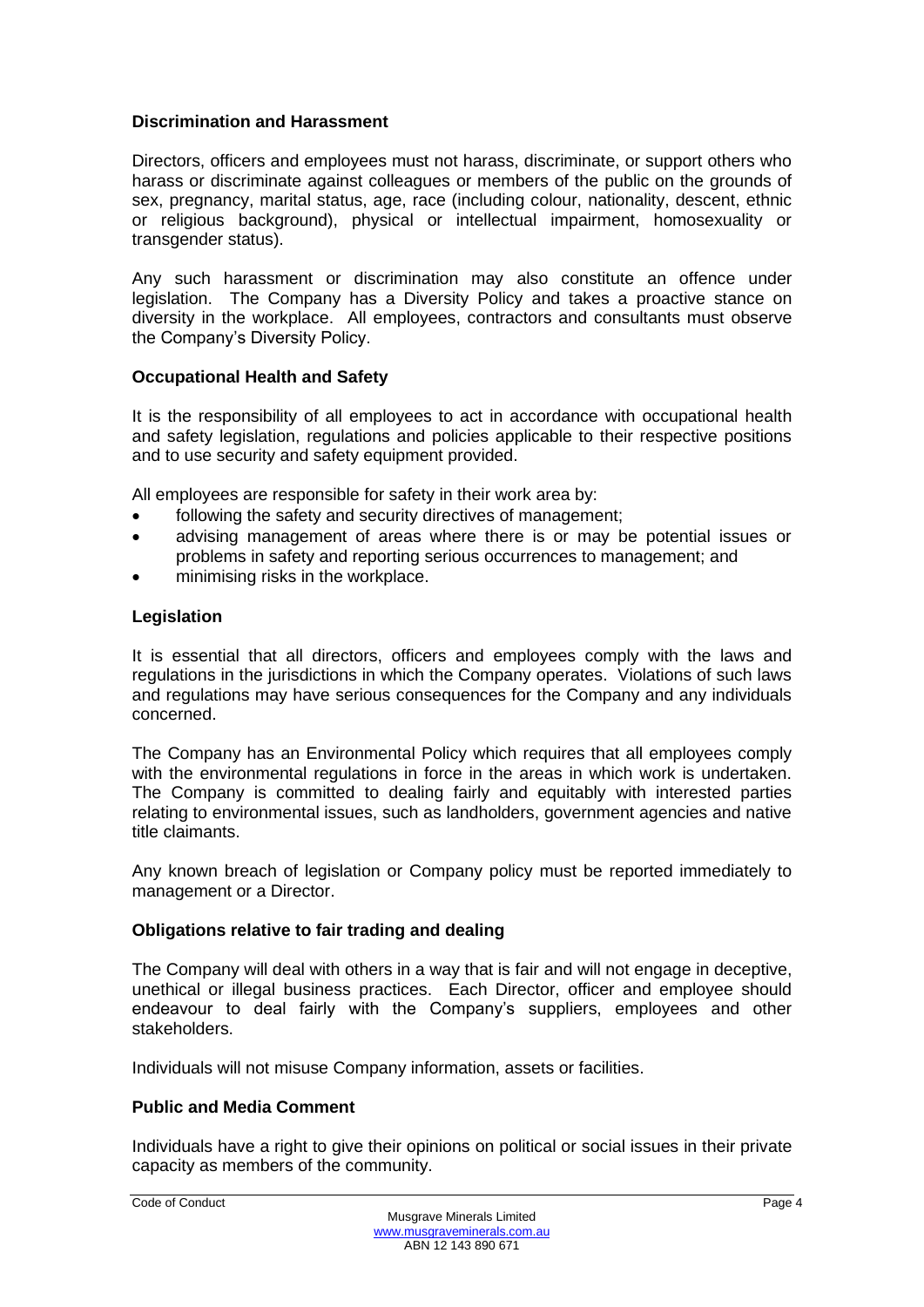#### **Discrimination and Harassment**

Directors, officers and employees must not harass, discriminate, or support others who harass or discriminate against colleagues or members of the public on the grounds of sex, pregnancy, marital status, age, race (including colour, nationality, descent, ethnic or religious background), physical or intellectual impairment, homosexuality or transgender status).

Any such harassment or discrimination may also constitute an offence under legislation. The Company has a Diversity Policy and takes a proactive stance on diversity in the workplace. All employees, contractors and consultants must observe the Company's Diversity Policy.

#### **Occupational Health and Safety**

It is the responsibility of all employees to act in accordance with occupational health and safety legislation, regulations and policies applicable to their respective positions and to use security and safety equipment provided.

All employees are responsible for safety in their work area by:

- following the safety and security directives of management;
- advising management of areas where there is or may be potential issues or problems in safety and reporting serious occurrences to management; and
- minimising risks in the workplace.

#### **Legislation**

It is essential that all directors, officers and employees comply with the laws and regulations in the jurisdictions in which the Company operates. Violations of such laws and regulations may have serious consequences for the Company and any individuals concerned.

The Company has an Environmental Policy which requires that all employees comply with the environmental regulations in force in the areas in which work is undertaken. The Company is committed to dealing fairly and equitably with interested parties relating to environmental issues, such as landholders, government agencies and native title claimants.

Any known breach of legislation or Company policy must be reported immediately to management or a Director.

#### **Obligations relative to fair trading and dealing**

The Company will deal with others in a way that is fair and will not engage in deceptive, unethical or illegal business practices. Each Director, officer and employee should endeavour to deal fairly with the Company's suppliers, employees and other stakeholders.

Individuals will not misuse Company information, assets or facilities.

## **Public and Media Comment**

Individuals have a right to give their opinions on political or social issues in their private capacity as members of the community.

```
Code of Conduct Page 4
```